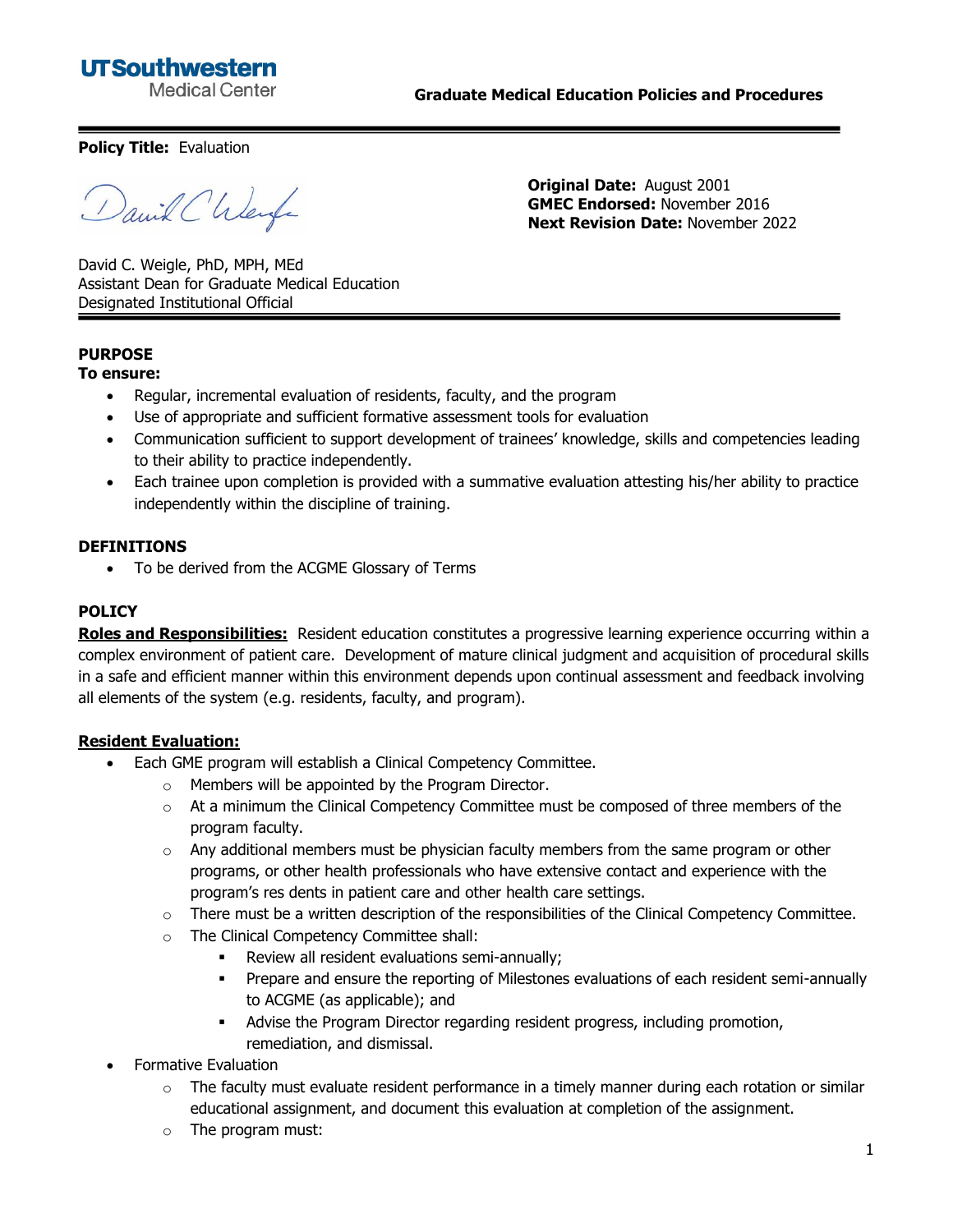## **UTSouthwestern Medical Center**

**Graduate Medical Education Policies and Procedures**

**Policy Title:** Evaluation

Daniel Chlerge

**Original Date:** August 2001 **GMEC Endorsed:** November 2016 **Next Revision Date:** November 2022

David C. Weigle, PhD, MPH, MEd Assistant Dean for Graduate Medical Education Designated Institutional Official

# **PURPOSE**

#### **To ensure:**

- Regular, incremental evaluation of residents, faculty, and the program
- Use of appropriate and sufficient formative assessment tools for evaluation
- Communication sufficient to support development of trainees' knowledge, skills and competencies leading to their ability to practice independently.
- Each trainee upon completion is provided with a summative evaluation attesting his/her ability to practice independently within the discipline of training.

#### **DEFINITIONS**

• To be derived from the ACGME Glossary of Terms

#### **POLICY**

**Roles and Responsibilities:** Resident education constitutes a progressive learning experience occurring within a complex environment of patient care. Development of mature clinical judgment and acquisition of procedural skills in a safe and efficient manner within this environment depends upon continual assessment and feedback involving all elements of the system (e.g. residents, faculty, and program).

#### **Resident Evaluation:**

- Each GME program will establish a Clinical Competency Committee.
	- o Members will be appointed by the Program Director.
	- $\circ$  At a minimum the Clinical Competency Committee must be composed of three members of the program faculty.
	- $\circ$  Any additional members must be physician faculty members from the same program or other programs, or other health professionals who have extensive contact and experience with the program's res dents in patient care and other health care settings.
	- $\circ$  There must be a written description of the responsibilities of the Clinical Competency Committee.
	- o The Clinical Competency Committee shall:
		- Review all resident evaluations semi-annually;
		- **Prepare and ensure the reporting of Milestones evaluations of each resident semi-annually** to ACGME (as applicable); and
		- Advise the Program Director regarding resident progress, including promotion, remediation, and dismissal.
- Formative Evaluation
	- The faculty must evaluate resident performance in a timely manner during each rotation or similar educational assignment, and document this evaluation at completion of the assignment.
	- o The program must: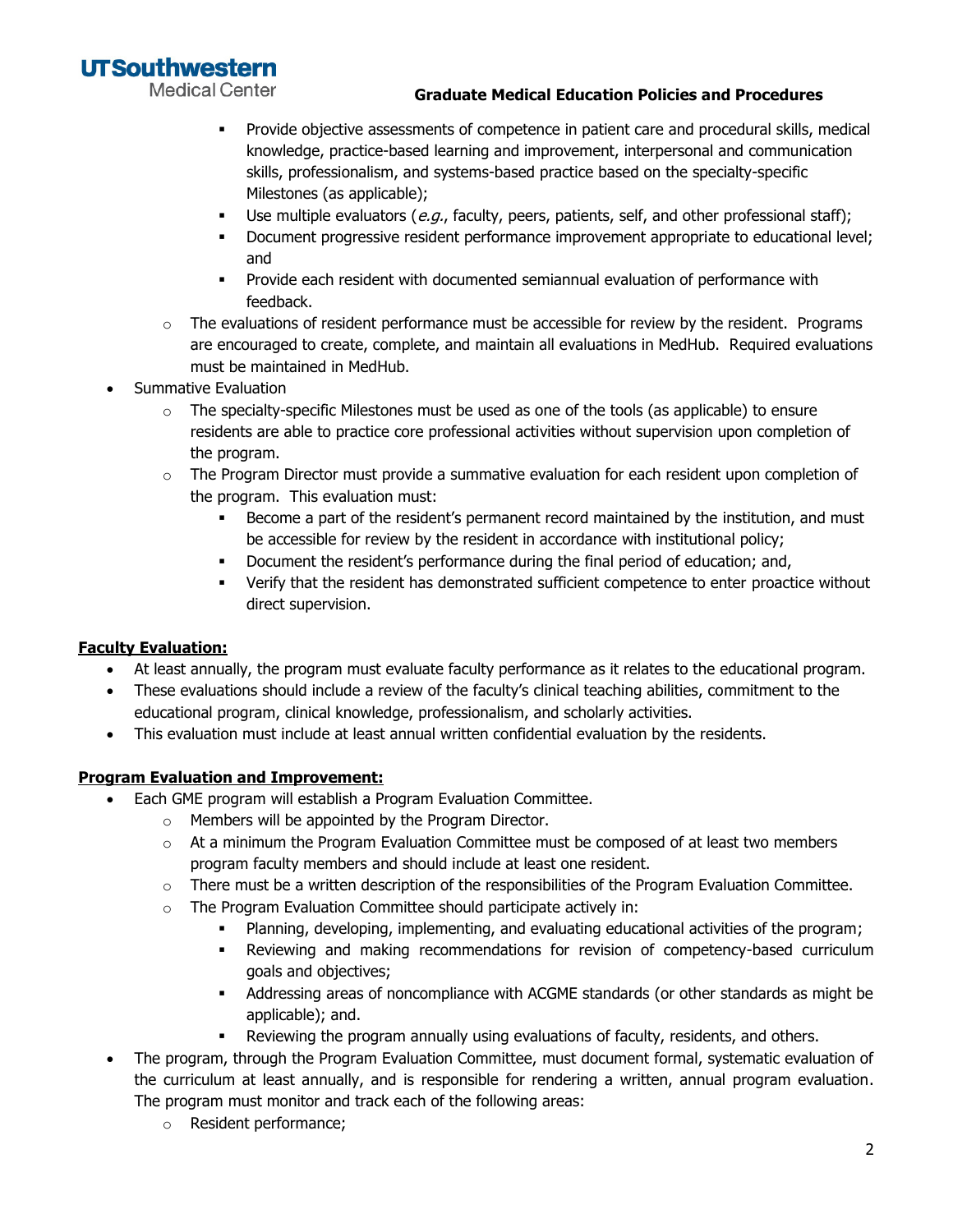**UTSouthwestern** 

**Medical Center** 

#### **Graduate Medical Education Policies and Procedures**

- **·** Provide objective assessments of competence in patient care and procedural skills, medical knowledge, practice-based learning and improvement, interpersonal and communication skills, professionalism, and systems-based practice based on the specialty-specific Milestones (as applicable);
- **•** Use multiple evaluators (e.g., faculty, peers, patients, self, and other professional staff);
- **•** Document progressive resident performance improvement appropriate to educational level; and
- Provide each resident with documented semiannual evaluation of performance with feedback.
- $\circ$  The evaluations of resident performance must be accessible for review by the resident. Programs are encouraged to create, complete, and maintain all evaluations in MedHub. Required evaluations must be maintained in MedHub.
- Summative Evaluation
	- $\circ$  The specialty-specific Milestones must be used as one of the tools (as applicable) to ensure residents are able to practice core professional activities without supervision upon completion of the program.
	- $\circ$  The Program Director must provide a summative evaluation for each resident upon completion of the program. This evaluation must:
		- **EXECOME 4 PART START IS 20 ATTLE 12 FORM ATTLE FORM FIGURE 10** FERGONG POST BECOME and must be accessible for review by the resident in accordance with institutional policy;
		- Document the resident's performance during the final period of education; and,
		- **•** Verify that the resident has demonstrated sufficient competence to enter proactice without direct supervision.

## **Faculty Evaluation:**

- At least annually, the program must evaluate faculty performance as it relates to the educational program.
- These evaluations should include a review of the faculty's clinical teaching abilities, commitment to the educational program, clinical knowledge, professionalism, and scholarly activities.
- This evaluation must include at least annual written confidential evaluation by the residents.

## **Program Evaluation and Improvement:**

- Each GME program will establish a Program Evaluation Committee.
	- o Members will be appointed by the Program Director.
	- $\circ$  At a minimum the Program Evaluation Committee must be composed of at least two members program faculty members and should include at least one resident.
	- $\circ$  There must be a written description of the responsibilities of the Program Evaluation Committee.
	- o The Program Evaluation Committee should participate actively in:
		- Planning, developing, implementing, and evaluating educational activities of the program;
		- **•** Reviewing and making recommendations for revision of competency-based curriculum goals and objectives;
		- Addressing areas of noncompliance with ACGME standards (or other standards as might be applicable); and.
		- **•** Reviewing the program annually using evaluations of faculty, residents, and others.
- The program, through the Program Evaluation Committee, must document formal, systematic evaluation of the curriculum at least annually, and is responsible for rendering a written, annual program evaluation. The program must monitor and track each of the following areas:
	- o Resident performance;